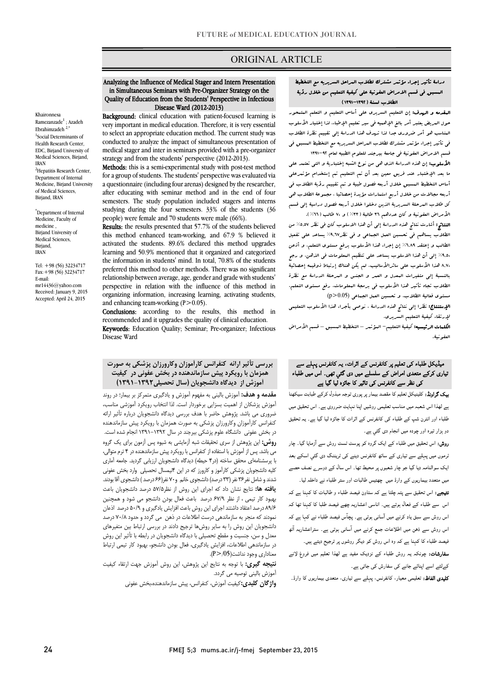## ORIGINAL ARTICLE

#### in Simultaneous Seminars with Pre-Organizer Strategy on the Quality of Education from the Students' Perspective in Infectious Disease Ward (2012-2013) Analyzing the Influence of Medical Stager and Intern Presentation

Ī

 very important in medical education. Therefore, it is very essential to select an appropriate education method. The current study was medical stager and inter in seminars provided with a pre-organizer strategy and from the students' perspective (2012-2013). Background: clinical education with patient-focused learning is conducted to analyze the impact of simultaneous presentation of

 Methods: this is a semi-experimental study with post-test method a questionnaire (including four arenas) designed by the researcher, after educating with seminar method and in the end of four studying during the four semesters. 33% of the students (36 people) were female and 70 students were male (66%). for a group of students. The students' perspective was evaluated via semesters. The study population included stagers and interns

 Results: the results presented that 57.7% of the students believed activated the students. 89.6% declared this method upgrades learning and 50.9% mentioned that it organized and categorized preferred this method to other methods. There was no significant relationship between average, age, gender and grade with students' perspective in relation with the influence of this method in l this method enhanced team-working, and 67.9 % believed it the information in students' mind. In total, 70.8% of the students organizing information, increasing learning, activating students, and enhancing team-working  $(P>0.05)$ .

Conclusions: according to the results, this method in recommended and it upgrades the quality of elimeal education.<br>**Keywords**: Education Quality; Seminar; Pre-organizer; Infectious recommended and it upgrades the quality of clinical education. Disease Ward

## بررسی تأثیر ارائه کنفرانس کارآموزان وکارورزان پزشکی به صورت همزمان با رویکرد پیش سازماندهنده در بخش عفونی در کیفیت آموزش از دیدگاه دانشجویان (سال تحصیلی1391-1392)

.<br>**مقدمه و هدف:** آموزش بالینی به مفهوم آموزش و یادگیری متمرکز بر بیمار؛ در روند آموزش پزشکان از اهمیت بسزایی برخوردار است. لذا انتخاب رویکرد آموزشی مناسب، عنزوری می بسد. پرومس حصر با سب بزرسی بیده، دانسانویان بزربان بایر ارائه<br>کنفرانس کارآموزان وکارورزان پزشکی به صورت همزمان با رویکرد پیش سازماندهنده در بخش عفونی دانشگاه علوم پزشکی بیرجند در سال 1391-1392 انجام شده است. **روش:** این پژوهش از سری تحقیقات شبه آزمایشی به شیوه پس آزمون برای یک گروه می باشد. پس از آموزش با استفاده از کنفرانس با رویکرد پیش سازماندهنده در 4 ترم متوالی، کلیه دانشجویان پزشکی کارآموز و کارورز که در این 4نیمسال تحصیلی وارد بخش عفونی شدند و شامل نفر36 نفر (33 درصد) دانشجوي خانم و70 نفر(66 درصد ) دانشجوي آقا بودند. یافته ها: نتایج نشان داد که اجراي این روش از نظر57/5 درصد دانشجویان باعث بهبود کار تیمی ، از نظر 67/9 درصد باعث فعال بودن دانشجو می شود و همچنین نمودند که منجر سعت سیستمبر برای بین روس به سه سربیس پیمبری و ۱۳۸۰ مرکز می شود.<br>نمودند که منجر به سازماندهی درست اطلاعات در ذهن ً می گردد و حدود ۷۰/۸ درصد دانشجویان این روش را به سایر روشها ترجیح دادند در بررسی ارتباط بین متغیرهاي معدل و سن، جنسیت و مقطع تحصیلی با دیدگاه دانشجویان در رابطه با تأثیر این روش در سازماندهی اطلاعات، افزایش یادگیري، فعال بودن دانشجو، بهبود کار تیمی ارتباط ضروري می باشد. پژوهش حاضر با هدف بررسی دیدگاه دانشجویان درباره تأثیر ارائه با پرسشنامهاي محقق ساخته (در4 حیطه) دیدگاه دانشجویان ارزیابی گردید. جامعه آماري 89/6 درصد اعتقاد داشتند اجراي این روش باعث افزایش یادگیري و 50/9 درصد اذعان  $(P > 05)$ .

رت ربر<br>**نتیجه گیری:** با توجه به نتایج این پژوهش، این روش آموزش جهت ارتقاء کیفیت آموزش بالینی توصیه می گردد.

**واژگان کلیدی:**کیفیت آموزش، کنفرانس، پیش سازماندهنده،بخش عفونی

# دراسۀ تأثیر إجراء مؤتمر مشترك لطلاب المراحل السریریه مع التخطیط المسبق فی قسم الامراض العفونیۀ علی کیفیۀ التعلیم من خلال رؤیۀ الطلاب لسنۀ (1391-1392)

Ī

 Disease Ward (2012-2013) المقدمه و الهدف: إن التعلیم السریري علی أساس التعلیم و التعلم المتمحور حول المریض یعتبر أمر بالغ الإهمیه فی سیر تعلیم الإطباء. لذا إختیار الأسلوب المناسب هو أمر ضروري جدا لذا تهدف هذا الدراسۀ إلی تقییم نظرة الطلاب فی تأثیر إجراء مؤتمر مشترك لطلاب المراحل السریریه مع التخطیط المسبق فی قسم الامراض العفونیۀ فی جامعۀ بیرجند للعلوم الطبیه لعام 1391-92

سمبم کے لوگ میں منصوبہ کی کہا ہے جو بعد سکو کہا ہے۔<br>**الأسلوب:** إن هذه الدراسۂ الذي ه<sub>ی</sub> من نوع الشبه إختباریۀ و التی تعتمد علی ما بعد الإختبار عند فریق معین بعد أن تم التعلیم تم إستخدام مؤتمرعلی أساس التخطیط المسبق خلال أربعه فصول طبیۀ و تم تقییم رؤیۀ الطلاب فی أربعه مجالات من خلال أربع استمارات مؤیدة إحصائیا ، مجموعۀ الطلاب هی کل طلاب المرحلۀ السریریۀ الذین دخلوا خلال أربعه فصول دراسیۀ إلی قسم الأمراض العفونیۀ و کان عددهم 36 طالبۀ (%33) و 70 طالب (%66).

ا**لنتائج:** أشارت نتائج هذه الدراسة إلى أن هذا الاسلوب کان فی نظر %5.0^ من<br>الن**تائج**  الطالب و إعتقد %6,89 إن إجراء هذا الأسلوب یرفع مستوي التعلم، و أذعن .<br>۹٫۵٪ إلی أن هذا الاسلوب یساعد علی تنظیم العلومات فی الذهن، و رجح 8,70 هذا الأسلوب علی سائرالأسالیب. لم یکن هناك إرتباط ذوقیمه إحصائیۀ بالنسبۀ إلی متغیرات المعدل و العمر و الجنس و المرحلۀ الدراسۀ مع نظرة الطلاب تجاه تأثیر هذا الأسلوب فی برمجۀ المعلومات، رفع مستوي التعلم، مستوى فعالیۀ الطلاب. و تحسین العمل الجماعی (0.05<r)<br>. الطلاب یساهم فی تحسبن العمل الجماعی و فی نظر%9,67 یساعد علی تفعیل

 لإرتقاء کیفیۀ التعلیم السریري. الإستنتاج: نظرا إلی نتائج هذه الدراسۀ ، نوصی بأجراء هذا الأسلوب التعلیمی

 الکلمات الرئیسیه: کیفیۀ التعلیم- المؤتمر – التخطیط المسبق – قسم الأمراض العفونیۀ.

## ۔<br>بیڈیکل طلباء کی تعلیم پر کانفرنس کے اثرات، یہ کانفرنس پہلے سے یاری کرکے متعدی امراض کے سلسلے میں دی گئي تھی۔ اس میں طلباء کی نظر سے کانفرنس کی تاثیر کا جائزہ لیا گیا ہے

**یپک گراونڈ:** کلینیکل تعلیم کا مقصد بیمار پر پوری توجہ مبذول کرکے طبابت سیکھنا ے لهذا اس شعبہ میں مناسب تعلیمی روشیں اپنا نہایت ضرروی ہے۔ اس تحقیق میں طلباء اور انٹرن شپ کے طلباء کی کانفرنس کے اثرات کا جائزہ لیا گیا ہے۔ یہ تحقیق دو ہزار تیرہ اور چودہ میں انجام دی گئي ہے۔

**روش:** اس تحقیق میں طلباء کے ایک گروہ کو پوسٹ ٹسٹ روش سے آزمایا گیا۔ چار ۔<br>ٹرموں میں پہلے سے تیاری کے ساتھ کانفرنس دینے کی ٹریننگ دی گئي اسکے بعد یک سوالنامہ دیا گیا جو چار شعبوں پر محیط تھا۔ اس سال کے دوسرے نصف حصے میں متعدد بیماریوں کے وارڈ میں چھتیس طالبات اور ستر طلباء نے داخلہ لیا۔

۔<br>**نتیجے:** اس تحقیق سے پتہ چلتا ہے کہ ستاون فیصد طلباء و طالبات کا کہنا ہے کہ ۔<br>اس سے طلباء کے فعال ہوتے ہیں۔ اناسی اعشاریہ چھے فیصد طلبا کا کہنا تھا کہ ۔<br>اس روش سے سبق یاد کرنے میں آسانی ہوتی ہے۔ پچآس فیصد طلباء نے کہا ہے کہ ۔<br>اس روش سے ذہن میں اطلاعات جمع کرنے میں آسانی ہوتی ہے۔ ستراعشاریہ آٹھ ۔<br>فیصد طلباء کا کہنا ہے کہ وہ اس روش کو دیگر روشوں پر ترجیح دیتے ہیں۔

۔<br>**سفارشات:** چونکہ یہ روش طلباء کے نزدیک مفید ہے لھذا تعلیم میں فروغ لانے ۔<br>کےلئے اسے اپنائے جانے کی سفارش کی جاتی ہے۔

**کلیدی الفاظ:** تعلیمی معیار، کانفرنس، پہلے سے تیاری، متعدی بیماریوں کا وارڈ۔<br>۔

# Ramezanzade<sup>1</sup> ; Azadeh

1 Social Determinants of Health Research Center, EDC, Birjand University of Medical Sciences, Birjand, IRAN <sup>2</sup>Hepatitis Research Center, Department of Internal Medicine, Birjand University of Medical Sciences, Birjand, IRAN

Khaironnesa

Ebrahimzadeh 2,\*

\* Department of Internal Medicine, Faculty of medicine , Birjand University of Medical Sciences Birjand, IRAN

Tel: +98 (56) 32234717 Fax:+98 (56) 32234717 E-mail: mr14436@yahoo.com Received: January 9, 2015 Accepted: April 24, 2015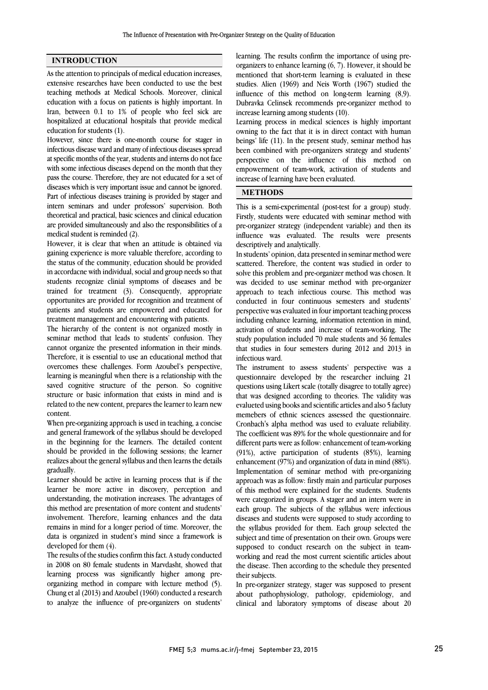### INTRODUCTION

As the attention to principals of medical education increases, extensive researches have been conducted to use the best teaching methods at Medical Schools. Moreover, clinical education with a focus on patients is highly important. In Iran, between 0.1 to 1% of people who feel sick are hospitalized at educational hospitals that provide medical education for students (1).

However, since there is one-month course for stager in infectious disease ward and many of infectious diseases spread at specific months of the year, students and interns do not face with some infectious diseases depend on the month that they pass the course. Therefore, they are not educated for a set of diseases which is very important issue and cannot be ignored. Part of infectious diseases training is provided by stager and intern seminars and under professors' supervision. Both theoretical and practical, basic sciences and clinical education are provided simultaneously and also the responsibilities of a medical student is reminded (2).

However, it is clear that when an attitude is obtained via gaining experience is more valuable therefore, according to the status of the community, education should be provided in accordacne with individual, social and group needs so that students recognize clinial symptoms of diseases and be trained for treatment (3). Consequently, appropriate opportunites are provided for recognition and treatment of patients and students are empowered and educated for treatment management and encountering with patients.

The hierarchy of the content is not organized mostly in seminar method that leads to students' confusion. They cannot organize the presented information in their minds. Therefore, it is essential to use an educational method that overcomes these challenges. Form Azoubel's perspective, learning is meaningful when there is a relationship with the saved cognitive structure of the person. So cognitive structure or basic information that exists in mind and is related to the new content, prepares the learner to learn new content.

When pre-organizing approach is used in teaching, a concise and general framework of the syllabus should be developed in the beginning for the learners. The detailed content should be provided in the following sessions; the learner realizes about the general syllabus and then learns the details gradually.

Learner should be active in learning process that is if the learner be more active in discovery, perception and understanding, the motivation increases. The advantages of this method are presentation of more content and students' involvement. Therefore, learning enhances and the data remains in mind for a longer period of time. Moreover, the data is organized in student's mind since a framework is developed for them (4).

The results of the studies confirm this fact. A study conducted in 2008 on 80 female students in Marvdasht, showed that learning process was significantly higher among preorganizing method in compare with lecture method (5). Chung et al (2013) and Azoubel (1960) conducted a research to analyze the influence of pre-organizers on students'

 learning. The results confirm the importance of using pre- organizers to enhance learning (6, 7). However, it should be mentioned that short-term learning is evaluated in these studies. Alien (1969) and Neis Worth (1967) studied the Dubravka Celinsek recommends pre-organizer method to increase learning among students (10). influence of this method on long-term learning (8,9).

 Learning process in medical sciences is highly important owning to the fact that it is in direct contact with human being the (11). In the present strategy, commun institute that perspective on the influence of this method on empowerment of team-work, activation of students and increase of learning have been evaluated. beings' life (11). In the present study, seminar method has

## METHODS

 This is a semi-experimental (post-test for a group) study. Firstly, students were educated with seminar method with pre-organizer strategy (independent variable) and then its descriptively and analytically. influence was evaluated. The results were presents

 In students' opinion, data presented in seminar method were scattered. Therefore, the content was studied in order to solve this problem and pre-organizer method was chosen. It approach to teach infectious course. This method was conducted in four continuous semesters and students' perspective was evaluated in four important teaching process activation of students and increase of team-working. The study population included 70 male students and 36 females that studies in four semesters during 2012 and 2013 in infectious ward. was decided to use seminar method with pre-organizer including enhance learning, information retention in mind,

 The instrument to assess students' perspective was a questions using Likert scale (totally disagree to totally agree) that was designed according to theories. The validity was evalueted using books and scientific articles and also 5 facluty memebers of ethnic sciences assessed the questionnaire. The coefficient was 89% for the whole questionnaire and for different parts were as follow: enhancement of team-working (91%), active participation of students (85%), learning enhancement (97%) and organization of data in mind (88%). approach was as follow: firstly main and particular purposes of this method were explained for the students. Students were categorized in groups. A stager and an intern were in each group. The subjects of the syllabus were infectious the syllabus provided for them. Each group selected the subject and time of presentation on their own. Groups were supposed to conduct research on the subject in teamworking and read the most current scientific articles about their subjects. questionnaire developed by the researcher incluing 21 Cronbach's alpha method was used to evaluate reliability. Implementation of seminar method with pre-organizing diseases and students were supposed to study according to the disease. Then according to the schedule they presented

 In pre-organizer strategy, stager was supposed to present about pathophysiology, pathology, epidemiology, and clinical and laboratory symptoms of disease about 20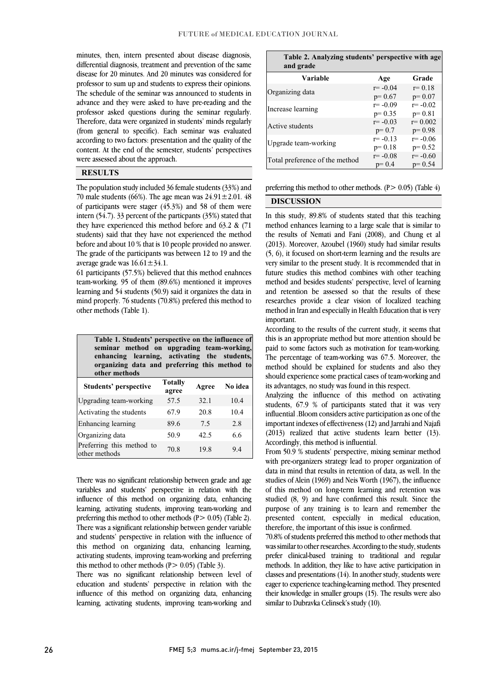٦

 minutes, then, intern presented about disease diagnosis, differential diagnosis, treatment and prevention of the same disease for 20 minutes. And 20 minutes was considered for professor to sum up and students to express their opinions. advance and they were asked to have pre-reading and the professor asked questions during the seminar regularly. Therefore, data were organized in students' minds regularly according to two factors: presentation and the quality of the content. At the end of the semester, students' perspectives The schedule of the seminar was announced to students in (from general to specific). Each seminar was evaluated were assessed about the approach.

### RESULTS

 The population study included 36 female students (33%) and 70 male students (66%). The age mean was  $24.91 \pm 2.01$ . 48 of participants were stager (45.3%) and 58 of them were intern (54.7). 33 percent of the particpants (35%) stated that students) said that they have not experienced the method before and about 10 % that is 10 people provided no answer. The grade of the participants was between 12 to 19 and the they have experienced this method before and 63.2 & (71 average grade was  $16.61 \pm 34.1$ .

 61 participants (57.5%) believed that this method enahnces learning and 54 students (50.9) said it organizes the data in mind properly. 76 students (70.8%) prefered this method to team-working. 95 of them (89.6%) mentioned it improves other methods (Table 1).

| Table 1. Students' perspective on the influence of<br>seminar method on upgrading team-working,<br>enhancing learning, activating the students,<br>organizing data and preferring this method to<br>other methods |                         |       |         |  |  |  |
|-------------------------------------------------------------------------------------------------------------------------------------------------------------------------------------------------------------------|-------------------------|-------|---------|--|--|--|
| <b>Students' perspective</b>                                                                                                                                                                                      | <b>Totally</b><br>agree | Agree | No idea |  |  |  |
| Upgrading team-working                                                                                                                                                                                            | 57.5                    | 32.1  | 10.4    |  |  |  |
| Activating the students                                                                                                                                                                                           | 67.9                    | 20.8  | 10.4    |  |  |  |
| Enhancing learning                                                                                                                                                                                                | 89.6                    | 7.5   | 2.8     |  |  |  |
| Organizing data                                                                                                                                                                                                   | 50.9                    | 42.5  | 66      |  |  |  |
| Preferring this method to<br>other methods                                                                                                                                                                        | 70.8                    | 19.8  | 9.4     |  |  |  |

 There was no significant relationship between grade and age variables and students' perspective in relation with the influence of this method on organizing data, enhancing preferring this method to other methods (P> 0.05) (Table 2). There was a significant relationship between gender variable and students' perspective in relation with the influence of this method on organizing data, enhancing learning, this method to other methods  $(P > 0.05)$  (Table 3). learning, activating students, improving team-working and activating students, improving team-working and preferring

 There was no significant relationship between level of education and students' perspective in relation with the influence of this method on organizing data, enhancing learning, activating students, improving team-working and

| Table 2. Analyzing students' perspective with age<br>and grade |                         |                         |  |  |  |
|----------------------------------------------------------------|-------------------------|-------------------------|--|--|--|
| Variable                                                       | Age                     | Grade                   |  |  |  |
| Organizing data                                                | $r = -0.04$<br>$p=0.67$ | $r = 0.18$<br>$p=0.07$  |  |  |  |
| Increase learning                                              | $r = -0.09$<br>$p=0.35$ | $r = -0.02$<br>$p=0.81$ |  |  |  |
| Active students                                                | $r = -0.03$<br>$p=0.7$  | $r = 0.002$<br>$p=0.98$ |  |  |  |
| Upgrade team-working                                           | $r = -0.13$<br>$p=0.18$ | $r = -0.06$<br>$p=0.52$ |  |  |  |
| Total preference of the method                                 | $r = -0.08$<br>$p=0.4$  | $r = -0.60$<br>$p=0.54$ |  |  |  |

preferring this method to other methods.  $(P > 0.05)$  (Table 4) ĺ

l

#### DISCUSSION

 In this study, 89.8% of students stated that this teaching the results of Nemati and Fani (2008), and Chung et al (2013). Moreover, Azoubel (1960) study had similar results (5, 6), it focused on short-term learning and the results are very similar to the present study. It is recommended that in future studies this method combines with other teaching and retention be assessed so that the results of these researches provide a clear vision of localized teaching method in Iran and especially in Health Education that is very method enhances learning to a large scale that is similar to method and besides students' perspective, level of learning important.

 According to the results of the current study, it seems that this is an appropriate method but more attention should be paid to some factors such as motivation for team-working. The percentage of team-working was 67.5. Moreover, the should experience some practical cases of team-working and its advantages, no study was found in this respect. method should be explained for students and also they

 Analyzing the influence of this method on activating students, 67.9 % of participants stated that it was very influential .Bloom considers active participation as one of the (2013) realized that active students learn better (13). important indexes of effectiveness (12) and Jarrahi and Najafi Accordingly, this method is influential.

 From 50.9 % students' perspective, mixing seminar method with pre-organizers strategy tead to proper organization of data in mind that results in retention of data, as well. In the studies of Alein (1969) and Neis Worth (1967), the influence of this method on long-term learning and retention was studied (8, 9) and have confirmed this result. Since the purpose of any training is to rearn and remember the<br>presented content, especially in medical education, therefore, the important of this issue is confirmed. with pre-organizers strategy lead to proper organization of purpose of any training is to learn and remember the

 70.8% of students preferred this method to other methods that was similar to other researches. According to the study, students prefer clinical-based training to traditional and regular classes and presentations (14). In another study, students were eager to experience teaching-learning method. They presented their knowledge in smaller groups (15). The results were also methods. In addition, they like to have active participation in similar to Dubravka Celinsek's study (10).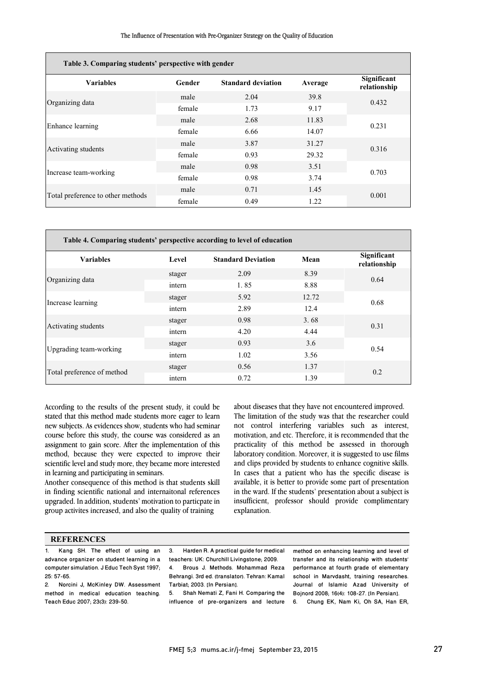| Table 3. Comparing students' perspective with gender |        |                           |         |                             |  |  |
|------------------------------------------------------|--------|---------------------------|---------|-----------------------------|--|--|
| <b>Variables</b>                                     | Gender | <b>Standard deviation</b> | Average | Significant<br>relationship |  |  |
| Organizing data                                      | male   | 2.04                      | 39.8    | 0.432                       |  |  |
|                                                      | female | 1.73                      | 9.17    |                             |  |  |
| Enhance learning                                     | male   | 2.68                      | 11.83   | 0.231                       |  |  |
|                                                      | female | 6.66                      | 14.07   |                             |  |  |
| Activating students                                  | male   | 3.87                      | 31.27   | 0.316                       |  |  |
|                                                      | female | 0.93                      | 29.32   |                             |  |  |
| Increase team-working                                | male   | 0.98                      | 3.51    | 0.703                       |  |  |
|                                                      | female | 0.98                      | 3.74    |                             |  |  |
| Total preference to other methods                    | male   | 0.71                      | 1.45    | 0.001                       |  |  |
|                                                      | female | 0.49                      | 1.22    |                             |  |  |

| Table 4. Comparing students' perspective according to level of education |        |                           |       |                             |  |
|--------------------------------------------------------------------------|--------|---------------------------|-------|-----------------------------|--|
| <b>Variables</b>                                                         | Level  | <b>Standard Deviation</b> | Mean  | Significant<br>relationship |  |
| Organizing data                                                          | stager | 2.09                      | 8.39  | 0.64                        |  |
|                                                                          | intern | 1.85                      | 8.88  |                             |  |
| Increase learning                                                        | stager | 5.92                      | 12.72 | 0.68                        |  |
|                                                                          | intern | 2.89                      | 12.4  |                             |  |
| Activating students                                                      | stager | 0.98                      | 3.68  | 0.31                        |  |
|                                                                          | intern | 4.20                      | 4.44  |                             |  |
| Upgrading team-working                                                   | stager | 0.93                      | 3.6   | 0.54                        |  |
|                                                                          | intern | 1.02                      | 3.56  |                             |  |
| Total preference of method                                               | stager | 0.56                      | 1.37  | 0.2                         |  |
|                                                                          | intern | 0.72                      | 1.39  |                             |  |

According to the results of the present study, it could be stated that this method made students more eager to learn new subjects. As evidences show, students who had seminar course before this study, the course was considered as an assignment to gain score. After the implementation of this method, because they were expected to improve their scientific level and study more, they became more interested in learning and participating in seminars.

Another consequence of this method is that students skill in finding scientific national and internaitonal references upgraded. In addition, students' motivation to particpate in group activites increased, and also the quality of training

 about diseases that they have not encountered improved. The limitation of the study was that the researcher could motivation, and etc. Therefore, it is recommended that the practicality of this method be assessed in thorough laboratory condition. Moreover, it is suggested to use films and clips provided by students to enhance cognitive skills. available, it is better to provide some part of presentation in the ward. If the students' presentation about a subject is insufficient, professor should provide complimentary explanation. not control interfering variables such as interest, In cases that a patient who has the specific disease is

#### **REFERENCES**

1. Kang SH. The effect of using an advance organizer on student learning in a computer simulation. J Educ Tech Syst 1997; 25: 57-65.

2. Norcini J, McKinley DW. Assessment method in medical education teaching. Teach Educ 2007; 23(3): 239-50.

 3. Harden R. A practical guide for medical teachers: UK: Churchill Livingstone; 2009. Behrangi. 3rd ed. (translator). Tehran: Kamal 4. Brous J. Methods. Mohammad Reza Tarbiat; 2003. [In Persian].

 5. Shah Nemati Z, Fani H. Comparing the influence of pre-organizers and lecture method on enhancing learning and level of transfer and its relationship with students' performance at fourth grade of elementary school in Marvdasht, training researches. Journal of Islamic Azad University of Bojnord 2008; 16(4): 108-27. [In Persian].

6. Chung EK, Nam Ki, Oh SA, Han ER,